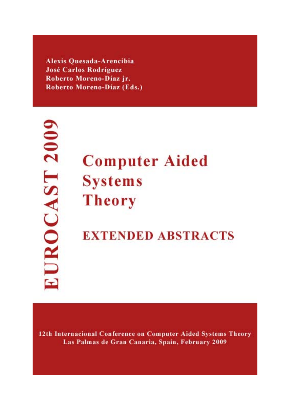Alexis Quesada-Arencibia **José Carlos Rodríguez** Roberto Moreno-Díaz jr. Roberto Moreno-Díaz (Eds.)

EUROCAST 2009

# **Computer Aided Systems Theory**

## **EXTENDED ABSTRACTS**

12th Internacional Conference on Computer Aided Systems Theory Las Palmas de Gran Canaria, Spain, February 2009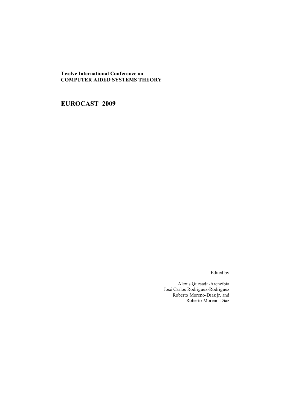**Twelve International Conference on COMPUTER AIDED SYSTEMS THEORY** 

**EUROCAST 2009** 

Edited by

Alexis Quesada-Arencibia José Carlos Rodríguez-Rodríguez Roberto Moreno-Díaz jr. and Roberto Moreno-Díaz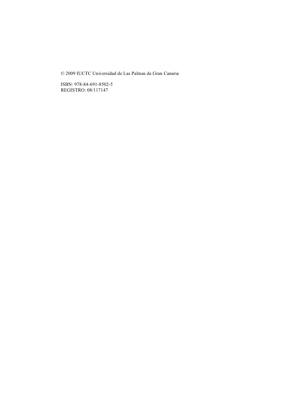© 2009 IUCTC Universidad de Las Palmas de Gran Canaria

ISBN: 978-84-691-8502-5 REGISTRO: 08/117147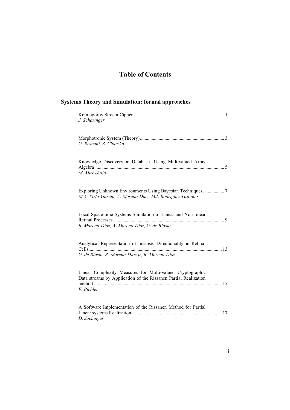### **Table of Contents**

| <b>Systems Theory and Simulation: formal approaches</b> |                                                                                                                              |  |  |
|---------------------------------------------------------|------------------------------------------------------------------------------------------------------------------------------|--|--|
|                                                         | J. Scharinger                                                                                                                |  |  |
|                                                         | G. Resconi, Z. Chaczko                                                                                                       |  |  |
|                                                         | Knowledge Discovery in Databases Using Multivalued Array<br>M. Miró-Julià                                                    |  |  |
|                                                         | Exploring Unknown Environments Using Bayesian Techniques 7<br>M.A. Virto-García, A. Moreno-Díaz, M.I. Rodríguez-Galiano      |  |  |
|                                                         | Local Space-time Systems Simulation of Linear and Non-linear<br>R. Moreno-Díaz, A. Moreno-Díaz, G. de Blasio                 |  |  |
|                                                         | Analytical Representation of Intrinsic Directionality in Retinal<br>G. de Blasio, R. Moreno-Díaz jr, R. Moreno-Díaz          |  |  |
| F. Pichler                                              | Linear Complexity Measures for Multi-valued Cryptographic<br>Data streams by Application of the Rissanen Partial Realization |  |  |
|                                                         | A Software Implementation of the Rissanen Method for Partial<br>D. Jochinger                                                 |  |  |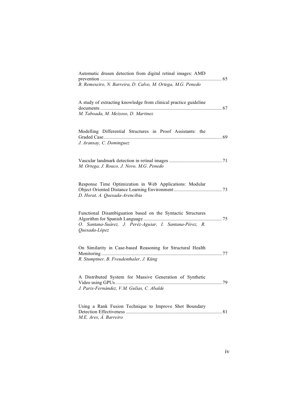|                          | B. Remeseiro, N. Barreira, D. Calvo, M. Ortega, M.G. Penedo                                                             |  |
|--------------------------|-------------------------------------------------------------------------------------------------------------------------|--|
|                          | A study of extracting knowledge from clinical practice guideline<br>M. Taboada, M. Meizoso, D. Martinez                 |  |
| J. Aransay, C. Dominguez | Modelling Differential Structures in Proof Assistants: the                                                              |  |
|                          | M. Ortega, J. Rouco, J. Novo, M.G. Penedo                                                                               |  |
|                          | Response Time Optimization in Web Applications: Modular<br>D. Horat, A. Quesada-Arencibia                               |  |
| Quesada-López            | Functional Disambiguation based on the Syntactic Structures<br>O. Santana-Suárez, J. Peréz-Aguiar, I. Santana-Pérez, R. |  |
|                          | On Similarity in Case-based Reasoning for Structural Health<br>R. Stumptner, B. Freudenthaler, J. Küng                  |  |
|                          | A Distributed System for Massive Generation of Synthetic<br>J. Paris-Fernández, V.M. Gulías, C. Abalde                  |  |
| M.E. Ares, Á. Barreiro   | Using a Rank Fusion Technique to Improve Shot Boundary                                                                  |  |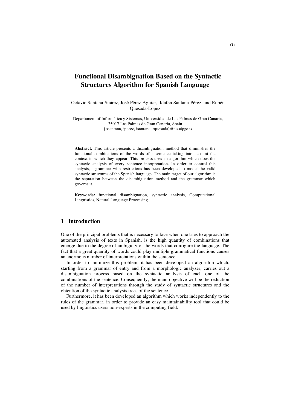#### **Functional Disambiguation Based on the Syntactic Structures Algorithm for Spanish Language**

Octavio Santana-Suárez, José Pérez-Aguiar, Idafen Santana-Pérez, and Rubén Quesada-López

Departament of Informática y Sistemas, Universidad de Las Palmas de Gran Canaria, 35017 Las Palmas de Gran Canaria, Spain {osantana, jperez, isantana, rquesada}@dis.ulpgc.es

**Abstract.** This article presents a disambiguation method that diminishes the functional combinations of the words of a sentence taking into account the context in which they appear. This process uses an algorithm which does the syntactic analysis of every sentence interpretation. In order to control this analysis, a grammar with restrictions has been developed to model the valid syntactic structures of the Spanish language. The main target of our algorithm is the separation between the disambiguation method and the grammar which governs it.

**Keywords:** functional disambiguation, syntactic analysis, Computational Linguistics, Natural Language Processing

#### **1 Introduction**

One of the principal problems that is necessary to face when one tries to approach the automated analysis of texts in Spanish, is the high quantity of combinations that emerge due to the degree of ambiguity of the words that configure the language. The fact that a great quantity of words could play multiple grammatical functions causes an enormous number of interpretations within the sentence.

In order to minimize this problem, it has been developed an algorithm which, starting from a grammar of entry and from a morphologic analyzer, carries out a disambiguation process based on the syntactic analysis of each one of the combinations of the sentence. Consequently, the main objective will be the reduction of the number of interpretations through the study of syntactic structures and the obtention of the syntactic analysis trees of the sentence.

Furthermore, it has been developed an algorithm which works independently to the rules of the grammar, in order to provide an easy maintainability tool that could be used by linguistics users non-experts in the computing field.